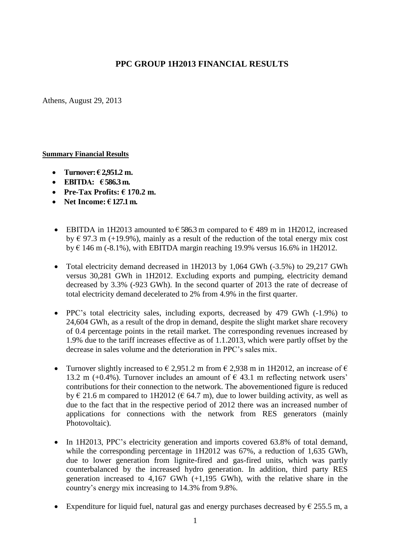## **PPC GROUP 1H2013 FINANCIAL RESULTS**

Athens, August 29, 2013

## **Summary Financial Results**

- **Turnover: € 2,951.2 m.**
- **EBITDA: € 586.3 m.**
- **Pre-Tax Profits: € 170.2 m.**
- **Net Income: € 127.1 m.**
- **•** EBITDA in 1H2013 amounted to  $\epsilon$  586.3 m compared to  $\epsilon$  489 m in 1H2012, increased by  $\epsilon$  97.3 m (+19.9%), mainly as a result of the reduction of the total energy mix cost by  $\epsilon$  146 m (-8.1%), with EBITDA margin reaching 19.9% versus 16.6% in 1H2012.
- Total electricity demand decreased in 1H2013 by 1,064 GWh (-3.5%) to 29,217 GWh versus 30,281 GWh in 1H2012. Excluding exports and pumping, electricity demand decreased by 3.3% (-923 GWh). In the second quarter of 2013 the rate of decrease of total electricity demand decelerated to 2% from 4.9% in the first quarter.
- PPC's total electricity sales, including exports, decreased by 479 GWh (-1.9%) to 24,604 GWh, as a result of the drop in demand, despite the slight market share recovery of 0.4 percentage points in the retail market. The corresponding revenues increased by 1.9% due to the tariff increases effective as of 1.1.2013, which were partly offset by the decrease in sales volume and the deterioration in PPC's sales mix.
- Turnover slightly increased to  $\epsilon$  2,951.2 m from  $\epsilon$  2,938 m in 1H2012, an increase of  $\epsilon$ 13.2 m (+0.4%). Turnover includes an amount of  $\epsilon$  43.1 m reflecting network users' contributions for their connection to the network. The abovementioned figure is reduced by  $\in$  21.6 m compared to 1H2012 ( $\in$  64.7 m), due to lower building activity, as well as due to the fact that in the respective period of 2012 there was an increased number of applications for connections with the network from RES generators (mainly Photovoltaic).
- In 1H2013, PPC's electricity generation and imports covered 63.8% of total demand, while the corresponding percentage in 1H2012 was 67%, a reduction of 1,635 GWh, due to lower generation from lignite-fired and gas-fired units, which was partly counterbalanced by the increased hydro generation. In addition, third party RES generation increased to 4,167 GWh (+1,195 GWh), with the relative share in the country's energy mix increasing to 14.3% from 9.8%.
- Expenditure for liquid fuel, natural gas and energy purchases decreased by  $\epsilon$  255.5 m, a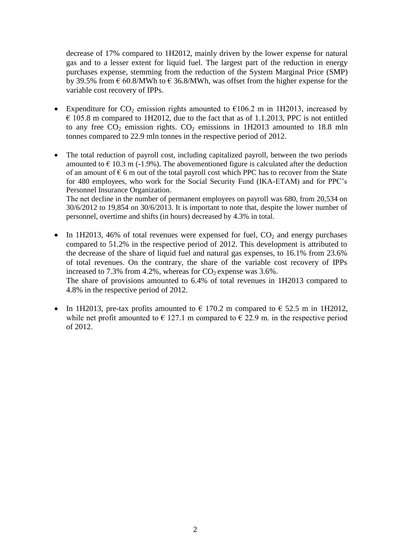decrease of 17% compared to 1H2012, mainly driven by the lower expense for natural gas and to a lesser extent for liquid fuel. The largest part of the reduction in energy purchases expense, stemming from the reduction of the System Marginal Price (SMP) by 39.5% from  $\epsilon$  60.8/MWh to  $\epsilon$  36.8/MWh, was offset from the higher expense for the variable cost recovery of IPPs.

- Expenditure for  $CO_2$  emission rights amounted to  $\epsilon$ 106.2 m in 1H2013, increased by  $\epsilon$  105.8 m compared to 1H2012, due to the fact that as of 1.1.2013, PPC is not entitled to any free  $CO_2$  emission rights.  $CO_2$  emissions in 1H2013 amounted to 18.8 mln tonnes compared to 22.9 mln tonnes in the respective period of 2012.
- The total reduction of payroll cost, including capitalized payroll, between the two periods amounted to  $\epsilon$  10.3 m (-1.9%). The abovementioned figure is calculated after the deduction of an amount of  $\epsilon$  6 m out of the total payroll cost which PPC has to recover from the State for 480 employees, who work for the Social Security Fund (IKA-ETAM) and for PPC's Personnel Insurance Organization.

Τhe net decline in the number of permanent employees on payroll was 680, from 20,534 on 30/6/2012 to 19,854 on 30/6/2013. It is important to note that, despite the lower number of personnel, overtime and shifts (in hours) decreased by 4.3% in total.

- In 1H2013, 46% of total revenues were expensed for fuel,  $CO<sub>2</sub>$  and energy purchases compared to 51.2% in the respective period of 2012. This development is attributed to the decrease of the share of liquid fuel and natural gas expenses, to 16.1% from 23.6% of total revenues. On the contrary, the share of the variable cost recovery of IPPs increased to 7.3% from 4.2%, whereas for  $CO_2$  expense was 3.6%. The share of provisions amounted to 6.4% of total revenues in 1H2013 compared to 4.8% in the respective period of 2012.
- In 1H2013, pre-tax profits amounted to  $\epsilon$  170.2 m compared to  $\epsilon$  52.5 m in 1H2012, while net profit amounted to  $\epsilon$  127.1 m compared to  $\epsilon$  22.9 m. in the respective period of 2012.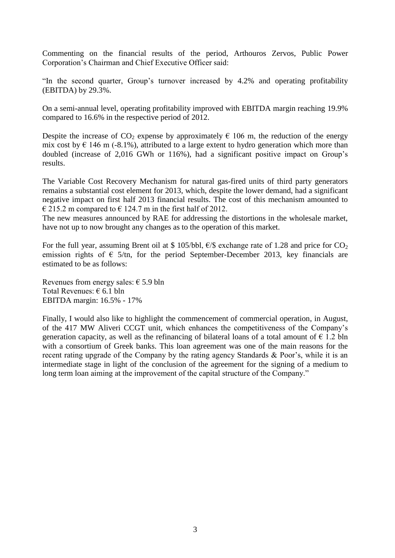Commenting on the financial results of the period, Arthouros Zervos, Public Power Corporation's Chairman and Chief Executive Officer said:

"In the second quarter, Group's turnover increased by 4.2% and operating profitability (EBITDA) by 29.3%.

On a semi-annual level, operating profitability improved with EBITDA margin reaching 19.9% compared to 16.6% in the respective period of 2012.

Despite the increase of  $CO_2$  expense by approximately  $\epsilon$  106 m, the reduction of the energy mix cost by  $\epsilon$  146 m (-8.1%), attributed to a large extent to hydro generation which more than doubled (increase of 2,016 GWh or 116%), had a significant positive impact on Group's results.

The Variable Cost Recovery Mechanism for natural gas-fired units of third party generators remains a substantial cost element for 2013, which, despite the lower demand, had a significant negative impact on first half 2013 financial results. The cost of this mechanism amounted to  $\in$  215.2 m compared to  $\in$  124.7 m in the first half of 2012.

The new measures announced by RAE for addressing the distortions in the wholesale market, have not up to now brought any changes as to the operation of this market.

For the full year, assuming Brent oil at \$ 105/bbl,  $\epsilon$ /\$ exchange rate of 1.28 and price for CO<sub>2</sub> emission rights of  $\epsilon$  5/tn, for the period September-December 2013, key financials are estimated to be as follows:

Revenues from energy sales:  $\epsilon$  5.9 bln Total Revenues: € 6.1 bln EBITDA margin: 16.5% - 17%

Finally, I would also like to highlight the commencement of commercial operation, in August, of the 417 MW Aliveri CCGT unit, which enhances the competitiveness of the Company's generation capacity, as well as the refinancing of bilateral loans of a total amount of  $\epsilon$  1.2 bln with a consortium of Greek banks. This loan agreement was one of the main reasons for the recent rating upgrade of the Company by the rating agency Standards & Poor's, while it is an intermediate stage in light of the conclusion of the agreement for the signing of a medium to long term loan aiming at the improvement of the capital structure of the Company."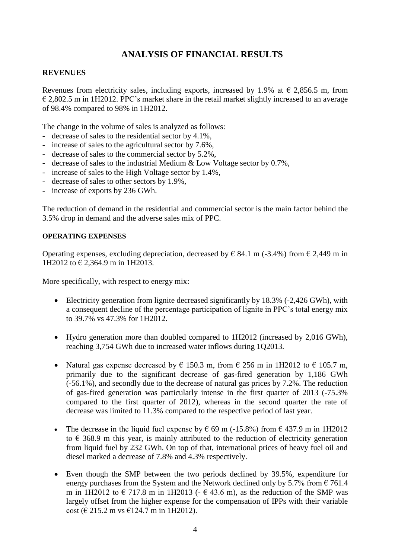# **ANALYSIS OF FINANCIAL RESULTS**

## **REVENUES**

Revenues from electricity sales, including exports, increased by 1.9% at  $\epsilon$  2,856.5 m, from  $\epsilon$  2,802.5 m in 1H2012. PPC's market share in the retail market slightly increased to an average of 98.4% compared to 98% in 1H2012.

The change in the volume of sales is analyzed as follows:

- **-** decrease of sales to the residential sector by 4.1%,
- **-** increase of sales to the agricultural sector by 7.6%,
- **-** decrease of sales to the commercial sector by 5.2%,
- **-** decrease of sales to the industrial Medium & Low Voltage sector by 0.7%,
- **-** increase of sales to the High Voltage sector by 1.4%,
- **-** decrease of sales to other sectors by 1.9%,
- **-** increase of exports by 236 GWh.

Τhe reduction of demand in the residential and commercial sector is the main factor behind the 3.5% drop in demand and the adverse sales mix of PPC.

#### **OPERATING EXPENSES**

Operating expenses, excluding depreciation, decreased by  $\epsilon$  84.1 m (-3.4%) from  $\epsilon$  2,449 m in 1H2012 to € 2,364.9 m in 1H2013.

More specifically, with respect to energy mix:

- Electricity generation from lignite decreased significantly by 18.3% (-2,426 GWh), with a consequent decline of the percentage participation of lignite in PPC's total energy mix to 39.7% vs 47.3% for 1H2012.
- Hydro generation more than doubled compared to 1H2012 (increased by 2,016 GWh), reaching 3,754 GWh due to increased water inflows during 1Q2013.
- Natural gas expense decreased by  $\epsilon$  150.3 m, from  $\epsilon$  256 m in 1H2012 to  $\epsilon$  105.7 m, primarily due to the significant decrease of gas-fired generation by 1,186 GWh (-56.1%), and secondly due to the decrease of natural gas prices by 7.2%. The reduction of gas-fired generation was particularly intense in the first quarter of 2013 (-75.3% compared to the first quarter of 2012), whereas in the second quarter the rate of decrease was limited to 11.3% compared to the respective period of last year.
- The decrease in the liquid fuel expense by  $\epsilon$  69 m (-15.8%) from  $\epsilon$  437.9 m in 1H2012 to  $\epsilon$  368.9 m this year, is mainly attributed to the reduction of electricity generation from liquid fuel by 232 GWh. On top of that, international prices of heavy fuel oil and diesel marked a decrease of 7.8% and 4.3% respectively.
- Even though the SMP between the two periods declined by 39.5%, expenditure for energy purchases from the System and the Network declined only by 5.7% from  $\epsilon$  761.4 m in 1H2012 to  $\epsilon$  717.8 m in 1H2013 ( $\epsilon$  43.6 m), as the reduction of the SMP was largely offset from the higher expense for the compensation of IPPs with their variable cost ( $\in$  215.2 m vs  $\in$ 124.7 m in 1H2012).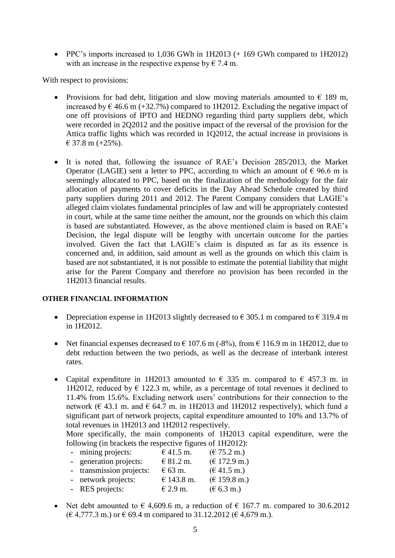• PPC's imports increased to 1,036 GWh in 1H2013 (+169 GWh compared to 1H2012) with an increase in the respective expense by  $\epsilon$  7.4 m.

With respect to provisions:

- Provisions for bad debt, litigation and slow moving materials amounted to  $\epsilon$  189 m, increased by  $\epsilon$  46.6 m (+32.7%) compared to 1H2012. Excluding the negative impact of one off provisions of IPTO and HEDNO regarding third party suppliers debt, which were recorded in 2Q2012 and the positive impact of the reversal of the provision for the Attica traffic lights which was recorded in 1Q2012, the actual increase in provisions is  $€ 37.8 \text{ m } (+25\%)$ .
- It is noted that, following the issuance of RAE's Decision 285/2013, the Market Operator (LAGIE) sent a letter to PPC, according to which an amount of  $\epsilon$  96.6 m is seemingly allocated to PPC, based on the finalization of the methodology for the fair allocation of payments to cover deficits in the Day Ahead Schedule created by third party suppliers during 2011 and 2012. The Parent Company considers that LAGIE's alleged claim violates fundamental principles of law and will be appropriately contested in court, while at the same time neither the amount, nor the grounds on which this claim is based are substantiated. However, as the above mentioned claim is based on RAE's Decision, the legal dispute will be lengthy with uncertain outcome for the parties involved. Given the fact that LAGIE's claim is disputed as far as its essence is concerned and, in addition, said amount as well as the grounds on which this claim is based are not substantiated, it is not possible to estimate the potential liability that might arise for the Parent Company and therefore no provision has been recorded in the 1H2013 financial results.

## **OTHER FINANCIAL INFORMATION**

- Depreciation expense in 1H2013 slightly decreased to  $\epsilon$  305.1 m compared to  $\epsilon$  319.4 m in 1H2012.
- Net financial expenses decreased to  $\epsilon$  107.6 m (-8%), from  $\epsilon$  116.9 m in 1H2012, due to debt reduction between the two periods, as well as the decrease of interbank interest rates.
- Capital expenditure in 1H2013 amounted to  $\epsilon$  335 m. compared to  $\epsilon$  457.3 m. in 1H2012, reduced by  $\epsilon$  122.3 m, while, as a percentage of total revenues it declined to 11.4% from 15.6%. Excluding network users' contributions for their connection to the network ( $\in$  43.1 m. and  $\in$  64.7 m. in 1H2013 and 1H2012 respectively), which fund a significant part of network projects, capital expenditure amounted to 10% and 13.7% of total revenues in 1H2013 and 1H2012 respectively.

More specifically, the main components of 1H2013 capital expenditure, were the following (in brackets the respective figures of 1H2012):

- mining projects:  $641.5 \text{ m}.$   $(675.2 \text{ m.})$
- **-** generation projects:  $\qquad \in 81.2 \text{ m}.$   $\qquad \in 172.9 \text{ m}.$
- **-** transmission projects:  $\epsilon$  63 m. ( $\epsilon$  41.5 m.)
- network projects:  $\epsilon$  143.8 m.  $(\epsilon$  159.8 m.)
- **-** RES projects:  $\epsilon$  2.9 m.  $(\epsilon$  6.3 m.)
- Net debt amounted to  $\epsilon$  4,609.6 m, a reduction of  $\epsilon$  167.7 m. compared to 30.6.2012  $(€ 4,777.3 m.)$  or  $€ 69.4 m$  compared to 31.12.2012  $(€ 4,679 m.).$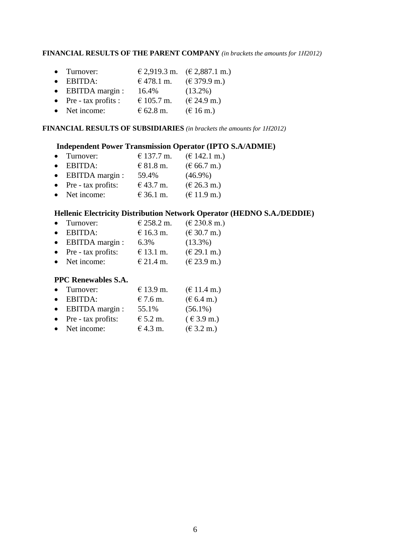#### **FINANCIAL RESULTS OF THE PARENT COMPANY** *(in brackets the amounts for 1Η2012)*

|  | $\bullet$ Turnover: |  | $\in$ 2,919.3 m. $(\in$ 2,887.1 m.) |
|--|---------------------|--|-------------------------------------|
|--|---------------------|--|-------------------------------------|

- EBITDA:  $\epsilon$  478.1 m.  $(\epsilon$  379.9 m.)
- EBITDA margin :  $16.4\%$  (13.2%)
- Pre tax profits :  $\qquad \in 105.7 \text{ m.} \qquad (\in 24.9 \text{ m.})$
- Net income:  $\epsilon$  62.8 m.  $(\epsilon$  16 m.)

#### **FINANCIAL RESULTS OF SUBSIDIARIES** *(in brackets the amounts for 1Η2012)*

#### **Independent Power Transmission Operator (IPTO S.A/ADMIE)**

• Turnover:  $\epsilon$  137.7 m.  $(\epsilon$  142.1 m.) • EBITDA:  $681.8 \text{ m}$ .  $(666.7 \text{ m})$ • EBITDA margin :  $59.4\%$  (46.9%) • Pre - tax profits:  $\theta$  43.7 m.  $(\theta$  26.3 m.) • Net income:  $\epsilon$  36.1 m.  $(\epsilon$  11.9 m.)

## **Hellenic Electricity Distribution Network Operator (HEDNO S.A./DEDDIE)**

- Turnover:  $\epsilon$  258.2 m.  $(\epsilon$  230.8 m.) • EBITDA:  $\epsilon$  16.3 m.  $(\epsilon$  30.7 m.) • EBITDA margin :  $6.3\%$  (13.3%) • Pre - tax profits:  $\theta$  13.1 m.  $(\theta$  29.1 m.)
- Net income:  $\epsilon$  21.4 m.  $(\epsilon$  23.9 m.)

## **PPC Renewables S.A.**

| • Turnover:               | € 13.9 m.  | $(\text{€ }11.4 \text{ m.})$            |
|---------------------------|------------|-----------------------------------------|
| $\bullet$ EBITDA:         | $€ 7.6$ m. | $(\text{\textsterling} 6.4 \text{ m.})$ |
| $\bullet$ EBITDA margin : | 55.1%      | $(56.1\%)$                              |
| • Pre - tax profits:      | $E$ 5.2 m. | $(6.3.9)$ m.)                           |
| • Net income:             | € 4.3 m.   | $(\text{€ }3.2 \text{ m.})$             |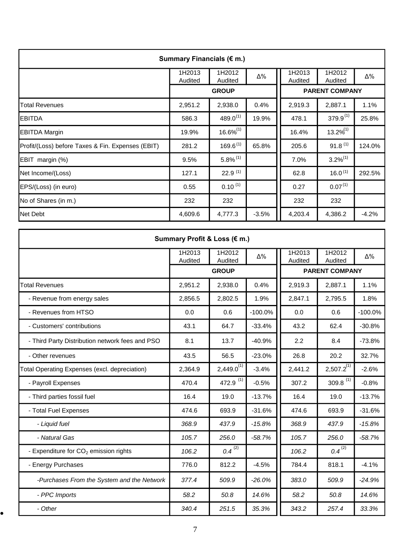| Summary Financials (€ m.)                         |                   |                        |         |                       |                     |         |  |
|---------------------------------------------------|-------------------|------------------------|---------|-----------------------|---------------------|---------|--|
|                                                   | 1H2013<br>Audited | 1H2012<br>Audited      | Δ%      | 1H2013<br>Audited     | 1H2012<br>Audited   | Δ%      |  |
|                                                   |                   | <b>GROUP</b>           |         | <b>PARENT COMPANY</b> |                     |         |  |
| <b>Total Revenues</b>                             | 2,951.2           | 2,938.0                | 0.4%    | 2,919.3               | 2,887.1             | 1.1%    |  |
| <b>EBITDA</b>                                     | 586.3             | $489.0^{(1)}$          | 19.9%   | 478.1                 | $379.9^{(1)}$       | 25.8%   |  |
| <b>EBITDA Margin</b>                              | 19.9%             | $16.6\%^{(1)}$         |         | 16.4%                 | $13.2\%^{(1)}$      |         |  |
| Profit/(Loss) before Taxes & Fin. Expenses (EBIT) | 281.2             | $169.6^{(1)}$          | 65.8%   | 205.6                 | $91.8^{(1)}$        | 124.0%  |  |
| EBIT margin (%)                                   | 9.5%              | $5.8\%$ <sup>(1)</sup> |         | 7.0%                  | $3.2\%^{(1)}$       |         |  |
| Net Income/(Loss)                                 | 127.1             | 22.9 <sup>(1)</sup>    |         | 62.8                  | 16.0 <sup>(1)</sup> | 292.5%  |  |
| EPS/(Loss) (in euro)                              | 0.55              | $0.10^{(1)}$           |         | 0.27                  | $0.07^{(1)}$        |         |  |
| No of Shares (in m.)                              | 232               | 232                    |         | 232                   | 232                 |         |  |
| <b>Net Debt</b>                                   | 4,609.6           | 4,777.3                | $-3.5%$ | 4,203.4               | 4,386.2             | $-4.2%$ |  |

| Summary Profit & Loss (€ m.)                    |                   |                   |           |                   |                        |           |  |
|-------------------------------------------------|-------------------|-------------------|-----------|-------------------|------------------------|-----------|--|
|                                                 | 1H2013<br>Audited | 1H2012<br>Audited | Δ%        | 1H2013<br>Audited | 1H2012<br>Audited      | Δ%        |  |
|                                                 |                   | <b>GROUP</b>      |           |                   | <b>PARENT COMPANY</b>  |           |  |
| <b>Total Revenues</b>                           | 2,951.2           | 2,938.0           | 0.4%      | 2,919.3           | 2,887.1                | 1.1%      |  |
| - Revenue from energy sales                     | 2,856.5           | 2,802.5           | 1.9%      | 2,847.1           | 2,795.5                | 1.8%      |  |
| - Revenues from HTSO                            | 0.0               | 0.6               | $-100.0%$ | 0.0               | 0.6                    | $-100.0%$ |  |
| - Customers' contributions                      | 43.1              | 64.7              | $-33.4%$  | 43.2              | 62.4                   | $-30.8%$  |  |
| - Third Party Distribution network fees and PSO | 8.1               | 13.7              | $-40.9%$  | 2.2               | 8.4                    | $-73.8%$  |  |
| - Other revenues                                | 43.5              | 56.5              | $-23.0%$  | 26.8              | 20.2                   | 32.7%     |  |
| Total Operating Expenses (excl. depreciation)   | 2,364.9           | $2,449.0^{(1)}$   | $-3.4%$   | 2,441.2           | $2,507.2^{(1)}$        | $-2.6%$   |  |
| - Payroll Expenses                              | 470.4             | 472.9 $(1)$       | $-0.5%$   | 307.2             | $309.8$ <sup>(1)</sup> | $-0.8%$   |  |
| - Third parties fossil fuel                     | 16.4              | 19.0              | $-13.7%$  | 16.4              | 19.0                   | $-13.7%$  |  |
| - Total Fuel Expenses                           | 474.6             | 693.9             | $-31.6%$  | 474.6             | 693.9                  | $-31.6%$  |  |
| - Liquid fuel                                   | 368.9             | 437.9             | $-15.8%$  | 368.9             | 437.9                  | $-15.8%$  |  |
| - Natural Gas                                   | 105.7             | 256.0             | $-58.7%$  | 105.7             | 256.0                  | $-58.7%$  |  |
| - Expenditure for $CO2$ emission rights         | 106.2             | $0.4^{(2)}$       |           | 106.2             | $0.4^{(2)}$            |           |  |
| - Energy Purchases                              | 776.0             | 812.2             | $-4.5%$   | 784.4             | 818.1                  | $-4.1%$   |  |
| -Purchases From the System and the Network      | 377.4             | 509.9             | $-26.0%$  | 383.0             | 509.9                  | $-24.9%$  |  |
| - PPC Imports                                   | 58.2              | 50.8              | 14.6%     | 58.2              | 50.8                   | 14.6%     |  |
| - Other                                         | 340.4             | 251.5             | 35.3%     | 343.2             | 257.4                  | 33.3%     |  |

 $\bullet$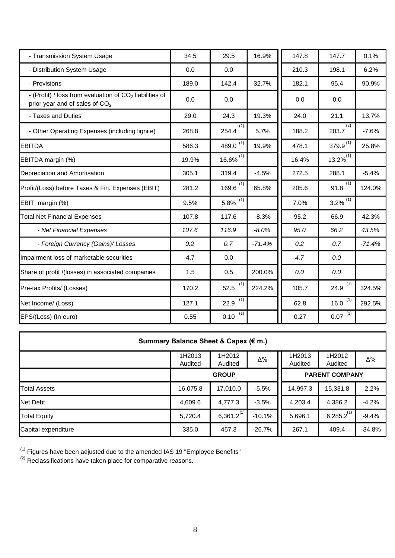| - Transmission System Usage                                                                             | 34.5  | 29.5                   | 16.9%    | 147.8 | 147.7                     | 0.1%     |
|---------------------------------------------------------------------------------------------------------|-------|------------------------|----------|-------|---------------------------|----------|
| - Distribution System Usage                                                                             | 0.0   | 0.0                    |          | 210.3 | 198.1                     | 6.2%     |
| - Provisions                                                                                            | 189.0 | 142.4                  | 32.7%    | 182.1 | 95.4                      | 90.9%    |
| - (Profit) / loss from evaluation of $CO2$ liabilities of<br>prior year and of sales of CO <sub>2</sub> | 0.0   | 0.0                    |          | 0.0   | 0.0                       |          |
| - Taxes and Duties                                                                                      | 29.0  | 24.3                   | 19.3%    | 24.0  | 21.1                      | 13.7%    |
| - Other Operating Expenses (including lignite)                                                          | 268.8 | (2)<br>254.4           | 5.7%     | 188.2 | (2)<br>203.7              | $-7.6%$  |
| <b>EBITDA</b>                                                                                           | 586.3 | 489.0 $(1)$            | 19.9%    | 478.1 | $379.9^{(1)}$             | 25.8%    |
| EBITDA margin (%)                                                                                       | 19.9% | 16.6% $\overline{11}$  |          | 16.4% | $13.2\%^{(1)}$            |          |
| Depreciation and Amortisation                                                                           | 305.1 | 319.4                  | $-4.5%$  | 272.5 | 288.1                     | $-5.4%$  |
| Profit/(Loss) before Taxes & Fin. Expenses (EBIT)                                                       | 281.2 | (1)<br>169.6           | 65.8%    | 205.6 | (1)<br>91.8               | 124.0%   |
| EBIT margin (%)                                                                                         | 9.5%  | $5.8\%$ <sup>(1)</sup> |          | 7.0%  | $3.2\%$ <sup>(1)</sup>    |          |
| <b>Total Net Financial Expenses</b>                                                                     | 107.8 | 117.6                  | $-8.3%$  | 95.2  | 66.9                      | 42.3%    |
| - Net Financial Expenses                                                                                | 107.6 | 116.9                  | $-8.0%$  | 95.0  | 66.2                      | 43.5%    |
| - Foreign Currency (Gains)/ Losses                                                                      | 0.2   | 0.7                    | $-71.4%$ | 0.2   | 0.7                       | $-71.4%$ |
| Impairment loss of marketable securities                                                                | 4.7   | 0.0                    |          | 4.7   | 0.0                       |          |
| Share of profit /(losses) in associated companies                                                       | 1.5   | 0.5                    | 200.0%   | 0.0   | 0.0                       |          |
| Pre-tax Profits/ (Losses)                                                                               | 170.2 | (1)<br>52.5            | 224.2%   | 105.7 | $\left( 1\right)$<br>24.9 | 324.5%   |
| Net Income/ (Loss)                                                                                      | 127.1 | (1)<br>22.9            |          | 62.8  | 16.0 $(1)$                | 292.5%   |
| EPS/(Loss) (In euro)                                                                                    | 0.55  | (1)<br>0.10            |          | 0.27  | $\left( 1\right)$<br>0.07 |          |

| Summary Balance Sheet & Capex (€ m.) |                   |                   |          |                       |                   |            |  |
|--------------------------------------|-------------------|-------------------|----------|-----------------------|-------------------|------------|--|
|                                      | 1H2013<br>Audited | 1H2012<br>Audited | Δ%       | 1H2013<br>Audited     | 1H2012<br>Audited | $\Delta\%$ |  |
|                                      |                   | <b>GROUP</b>      |          | <b>PARENT COMPANY</b> |                   |            |  |
| Total Assets                         | 16,075.8          | 17,010.0          | $-5.5%$  | 14,997.3              | 15,331.8          | $-2.2%$    |  |
| Net Debt                             | 4,609.6           | 4,777.3           | $-3.5%$  | 4,203.4               | 4,386.2           | $-4.2%$    |  |
| <b>Total Equity</b>                  | 5,720.4           | $6,361.2^{(1)}$   | $-10.1%$ | 5,696.1               | $6,285.2^{(1)}$   | $-9.4%$    |  |
| Capital expenditure                  | 335.0             | 457.3             | $-26.7%$ | 267.1                 | 409.4             | $-34.8%$   |  |

 $(1)$  Figures have been adjusted due to the amended IAS 19 "Employee Benefits"

 $^{(2)}$  Reclassifications have taken place for comparative reasons.